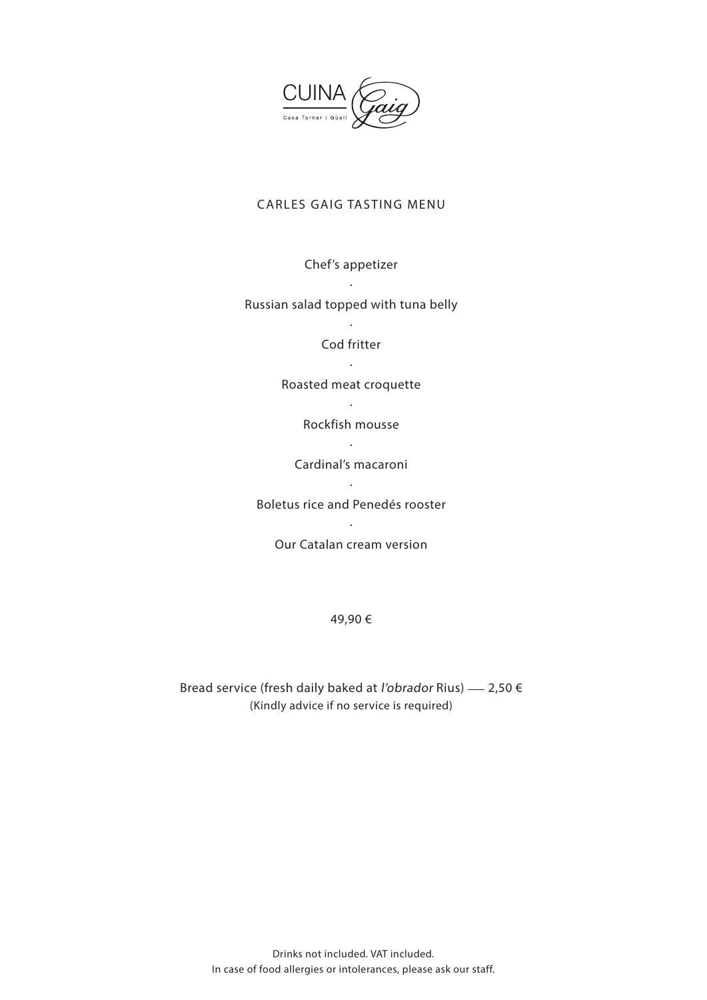

## CARLES GAIG TASTING MENU

Chef's appetizer

· Russian salad topped with tuna belly

> · Cod fritter

Roasted meat croquette

· Rockfish mousse

· Cardinal's macaroni ·

Boletus rice and Penedés rooster

· Our Catalan cream version

49,90 €

Bread service (fresh daily baked at l'obrador Rius)  $-$  2,50  $\epsilon$ (Kindly advice if no service is required)